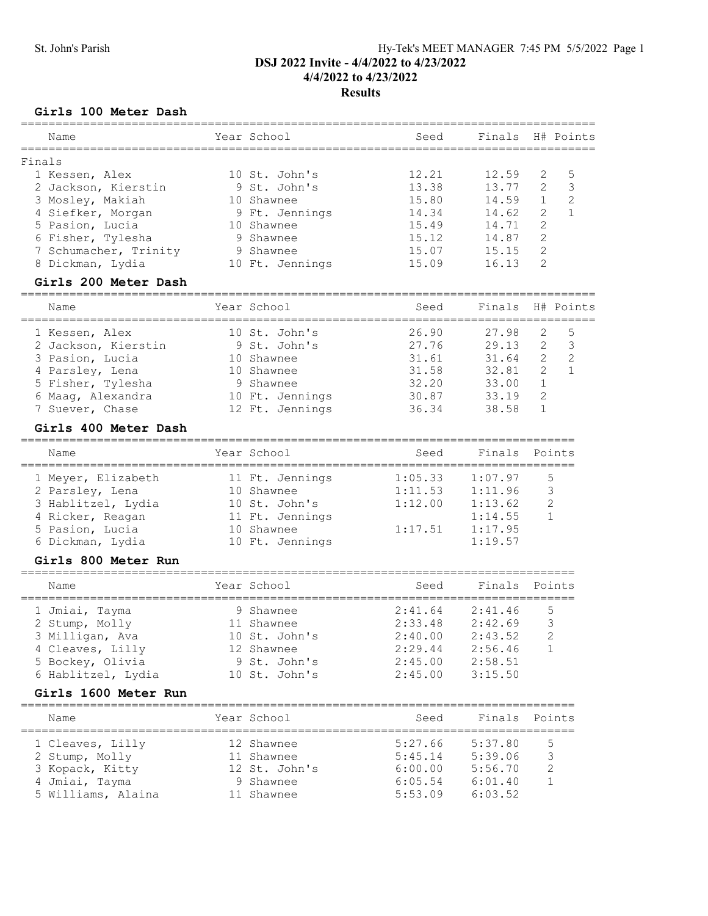# St. John's Parish Hy-Tek's MEET MANAGER 7:45 PM 5/5/2022 Page 1 DSJ 2022 Invite - 4/4/2022 to 4/23/2022 4/4/2022 to 4/23/2022 Results

# Girls 100 Meter Dash

| Name                  | Year School     | ________________________<br>Seed | Finals           |                | H# Points      |
|-----------------------|-----------------|----------------------------------|------------------|----------------|----------------|
| Finals                |                 |                                  |                  |                |                |
| 1 Kessen, Alex        | 10 St. John's   | 12.21                            | 12.59            | 2              | 5              |
| 2 Jackson, Kierstin   | 9 St. John's    | 13.38                            | 13.77            | 2              | 3              |
| 3 Mosley, Makiah      | 10 Shawnee      | 15.80                            | 14.59            | $\mathbf{1}$   | $\overline{c}$ |
| 4 Siefker, Morgan     | 9 Ft. Jennings  | 14.34                            | 14.62            | 2              | $\mathbf{1}$   |
| 5 Pasion, Lucia       | 10 Shawnee      | 15.49                            | 14.71            | 2              |                |
| 6 Fisher, Tylesha     | 9 Shawnee       | 15.12                            | 14.87            | $\overline{c}$ |                |
| 7 Schumacher, Trinity | 9 Shawnee       | 15.07                            | 15.15            | $\overline{c}$ |                |
| 8 Dickman, Lydia      | 10 Ft. Jennings | 15.09                            | 16.13            | $\overline{2}$ |                |
| Girls 200 Meter Dash  |                 |                                  |                  |                |                |
| Name                  | Year School     | Seed                             | Finals H# Points |                |                |
| 1 Kessen, Alex        | 10 St. John's   | 26.90                            | 27.98            | 2              | 5              |
| 2 Jackson, Kierstin   | 9 St. John's    | 27.76                            | 29.13            | 2              | 3              |
| 3 Pasion, Lucia       | 10 Shawnee      | 31.61                            | 31.64            | $\mathbf{2}$   | $\overline{c}$ |
| 4 Parsley, Lena       | 10 Shawnee      | 31.58                            | 32.81            | 2              | $\mathbf{1}$   |
| 5 Fisher, Tylesha     | 9 Shawnee       | 32.20                            | 33.00            | $\mathbf 1$    |                |
| 6 Maag, Alexandra     | 10 Ft. Jennings | 30.87                            | 33.19            | $\overline{c}$ |                |
| 7 Suever, Chase       | 12 Ft. Jennings | 36.34                            | 38.58            | $\mathbf{1}$   |                |
| Girls 400 Meter Dash  |                 |                                  |                  |                |                |
| Name                  | Year School     | Seed                             | Finals           |                | Points         |
| 1 Meyer, Elizabeth    | 11 Ft. Jennings | 1:05.33                          | 1:07.97          |                | 5              |
| 2 Parsley, Lena       | 10 Shawnee      | 1:11.53                          | 1:11.96          |                | 3              |
| 3 Hablitzel, Lydia    | 10 St. John's   | 1:12.00                          | 1:13.62          |                | 2              |
| 4 Ricker, Reagan      | 11 Ft. Jennings |                                  | 1:14.55          |                | $\mathbf{1}$   |
| 5 Pasion, Lucia       | 10 Shawnee      | 1:17.51                          | 1:17.95          |                |                |
| 6 Dickman, Lydia      | 10 Ft. Jennings |                                  | 1:19.57          |                |                |
| Girls 800 Meter Run   |                 |                                  |                  |                |                |
| Name                  | Year School     | Seed                             | Finals           |                | Points         |
|                       |                 |                                  |                  |                |                |
| 1 Jmiai, Tayma        | 9 Shawnee       | 2:41.64                          | 2:41.46          |                | 5              |
| 2 Stump, Molly        | 11 Shawnee      | 2:33.48                          | 2:42.69          |                | $\mathcal{S}$  |
| 3 Milligan, Ava       | 10 St. John's   | 2:40.00                          | 2:43.52          |                | 2              |
| 4 Cleaves, Lilly      | 12 Shawnee      | $2:29.44$ $2:56.46$              |                  |                | 1              |
| 5 Bockey, Olivia      | 9 St. John's    | $2:45.00$ $2:58.51$              |                  |                |                |
| 6 Hablitzel, Lydia    | 10 St. John's   | $2:45.00$ $3:15.50$              |                  |                |                |
| Girls 1600 Meter Run  |                 |                                  |                  |                |                |
| Name                  | Year School     | Seed                             | Finals Points    |                |                |
| 1 Cleaves, Lilly      | 12 Shawnee      | $5:27.66$ $5:37.80$              |                  |                | 5              |
| 2 Stump, Molly        | 11 Shawnee      | $5:45.14$ $5:39.06$              |                  |                | 3              |
| 3 Kopack, Kitty       | 12 St. John's   | $6:00.00$ $5:56.70$              |                  |                | 2              |
| 4 Jmiai, Tayma        | 9 Shawnee       | $6:05.54$ $6:01.40$              |                  |                | 1              |
| 5 Williams, Alaina    | 11 Shawnee      | 5:53.09                          | 6:03.52          |                |                |
|                       |                 |                                  |                  |                |                |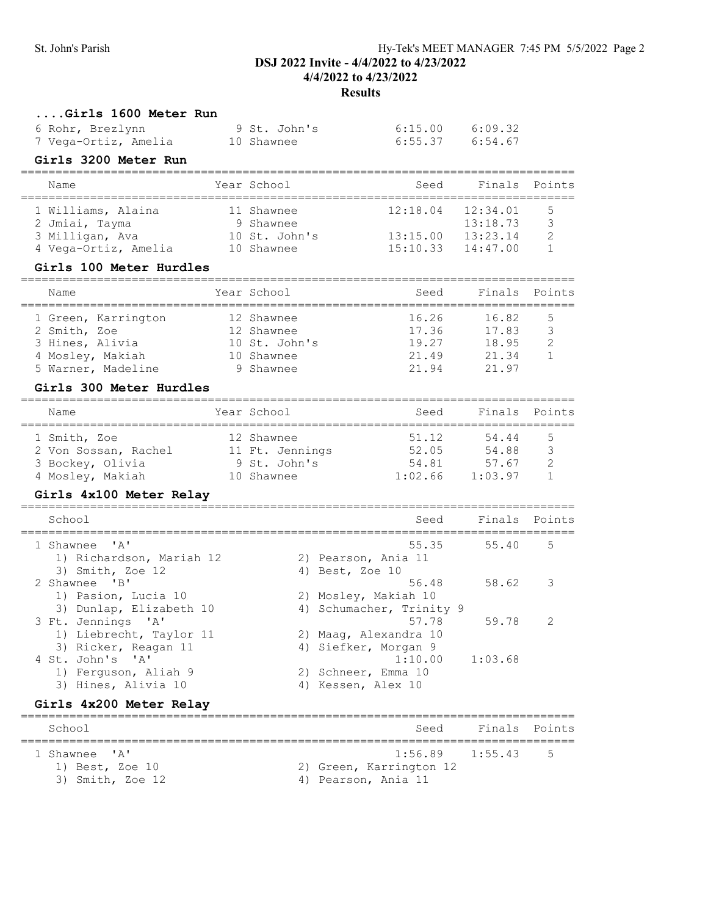# St. John's Parish Hy-Tek's MEET MANAGER 7:45 PM 5/5/2022 Page 2 DSJ 2022 Invite - 4/4/2022 to 4/23/2022 4/4/2022 to 4/23/2022 Results

| Girls 1600 Meter Run<br>6 Rohr, Brezlynn<br>7 Vega-Ortiz, Amelia<br>Girls 3200 Meter Run                                    | 9 St. John's<br>10 Shawnee                                           | 6:15.00<br>6:55.37                                                    | 6:09.32<br>6:54.67                           |                              |
|-----------------------------------------------------------------------------------------------------------------------------|----------------------------------------------------------------------|-----------------------------------------------------------------------|----------------------------------------------|------------------------------|
| Name                                                                                                                        | Year School                                                          | Seed                                                                  | Finals                                       | Points                       |
| 1 Williams, Alaina<br>2 Jmiai, Tayma<br>3 Milligan, Ava<br>4 Vega-Ortiz, Amelia<br><b>Girls 100 Meter Hurdles</b>           | 11 Shawnee<br>9 Shawnee<br>10 St. John's<br>10 Shawnee               | 12:18.04<br>13:15.00<br>15:10.33                                      | 12:34.01<br>13:18.73<br>13:23.14<br>14:47.00 | 5<br>3<br>2<br>$\mathbf{1}$  |
| Name                                                                                                                        | Year School                                                          | Seed                                                                  | Finals                                       | Points                       |
| 1 Green, Karrington<br>2 Smith, Zoe<br>3 Hines, Alivia<br>4 Mosley, Makiah<br>5 Warner, Madeline<br>Girls 300 Meter Hurdles | 12 Shawnee<br>12 Shawnee<br>10 St. John's<br>10 Shawnee<br>9 Shawnee | 16.26<br>17.36<br>19.27<br>21.49<br>21.94<br>------------------------ | 16.82<br>17.83<br>18.95<br>21.34<br>21.97    | 5<br>3<br>2<br>$\mathbf{1}$  |
| Name                                                                                                                        | Year School                                                          | Seed                                                                  | Finals                                       | Points                       |
| 1 Smith, Zoe<br>2 Von Sossan, Rachel 11 Ft. Jennings<br>3 Bockey, Olivia<br>4 Mosley, Makiah<br>Girls 4x100 Meter Relay     | 12 Shawnee<br>9 St. John's<br>10 Shawnee                             | 51.12<br>52.05<br>54.81<br>1:02.66                                    | 54.44<br>54.88<br>57.67<br>1:03.97           | 5<br>-3<br>2<br>$\mathbf{1}$ |
| School                                                                                                                      |                                                                      | Seed                                                                  | Finals                                       | Points                       |
| 1 Shawnee<br>$\mathsf{A}$<br>1) Richardson, Mariah 12<br>3) Smith, Zoe 12                                                   |                                                                      | 55.35<br>2) Pearson, Ania 11<br>4) Best, Zoe 10                       | 55.40                                        | 5                            |
| 2 Shawnee 'B'<br>1) Pasion, Lucia 10<br>3) Dunlap, Elizabeth 10                                                             |                                                                      | 56.48<br>2) Mosley, Makiah 10<br>4) Schumacher, Trinity 9             | 58.62                                        | 3                            |
| 3 Ft. Jennings 'A'<br>1) Liebrecht, Taylor 11<br>3) Ricker, Reagan 11<br>4 St. John's 'A'                                   |                                                                      | 57.78<br>2) Maag, Alexandra 10<br>4) Siefker, Morgan 9<br>1:10.00     | 59.78<br>1:03.68                             | 2                            |
| 1) Ferguson, Aliah 9<br>3) Hines, Alivia 10<br>Girls 4x200 Meter Relay                                                      |                                                                      | 2) Schneer, Emma 10<br>4) Kessen, Alex 10                             |                                              |                              |
| School                                                                                                                      |                                                                      | Seed                                                                  | Finals                                       | Points                       |
| $^{\mathsf{T}}$ $\mathbb{A}$ $^{\mathsf{T}}$<br>1 Shawnee<br>1) Best, Zoe 10<br>3) Smith, Zoe 12                            |                                                                      | 1:56.89<br>2) Green, Karrington 12<br>4) Pearson, Ania 11             | 1:55.43                                      | 5                            |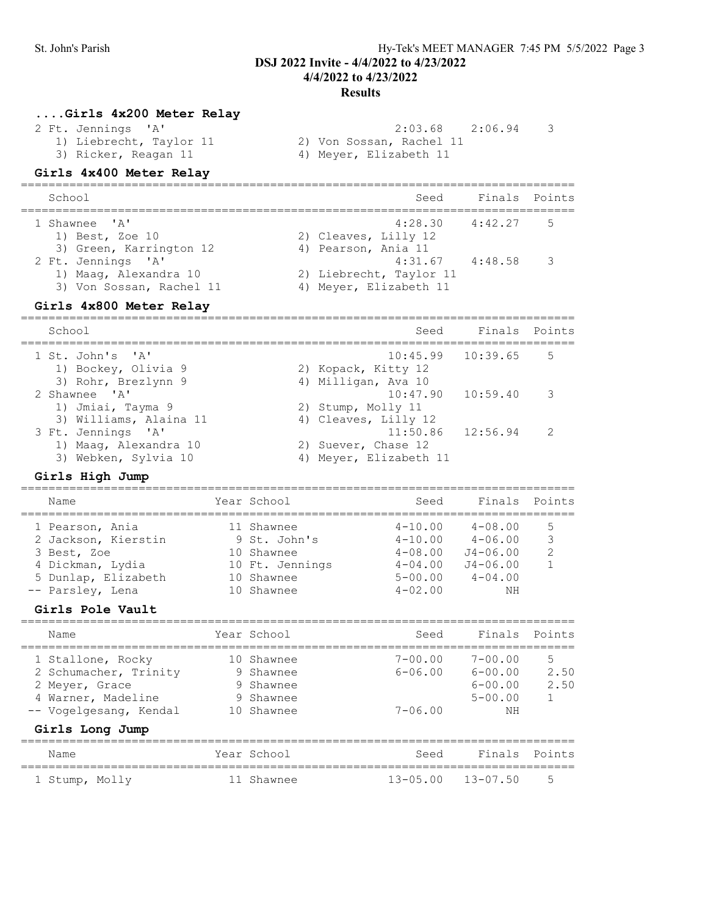### 4/4/2022 to 4/23/2022 Results

### ....Girls 4x200 Meter Relay

2 Ft. Jennings 'A' 2:03.68 2:06.94 3

- 1) Liebrecht, Taylor 11 2) Von Sossan, Rachel 11 3) Ricker, Reagan 11 4) Meyer, Elizabeth 11
	- Girls 4x400 Meter Relay
- ================================================================================ School Seed Finals Points ================================================================================ 1 Shawnee 'A' 4:28.30 4:42.27 5 1) Best, Zoe 10 2) Cleaves, Lilly 12 3) Green, Karrington 12 (a) Pearson, Ania 11 2 Ft. Jennings 'A' 31.67 4:31.67 4:48.58 3 1) Maag, Alexandra 10 2) Liebrecht, Taylor 11 3) Von Sossan, Rachel 11 4) Meyer, Elizabeth 11 Girls 4x800 Meter Relay

### ================================================================================ School School Seed Finals Points ================================================================================ 1 St. John's 'A' 1) Bockey, Olivia 9 2) Kopack, Kitty 12 3) Rohr, Brezlynn 9 1988 (4) Milligan, Ava 2 Shawnee 'A' 10:47.90 10:59.40 3 1) Jmiai, Tayma 9 2) Stump, Molly 11 3) Williams, Alaina 11 4) Cleaves, Lilly 12 3 Ft. Jennings 'A' 11:50.86 12:56.94 2 1) Maag, Alexandra 10 2) Suever, Chase 12 3) Webken, Sylvia 10 4) Meyer, Elizabeth 11

### Girls High Jump

| Name                                                                                                                                     | Year School                                                                             | Seed                                      | Finals                                                                                                                  | Points                            |
|------------------------------------------------------------------------------------------------------------------------------------------|-----------------------------------------------------------------------------------------|-------------------------------------------|-------------------------------------------------------------------------------------------------------------------------|-----------------------------------|
| 1 Pearson, Ania<br>2 Jackson, Kierstin<br>3 Best, Zoe<br>4 Dickman, Lydia<br>5 Dunlap, Elizabeth<br>-- Parsley, Lena<br>Girls Pole Vault | 11 Shawnee<br>9 St. John's<br>10 Shawnee<br>10 Ft. Jennings<br>10 Shawnee<br>10 Shawnee | $4 - 10.00$<br>$4 - 02.00$                | $4 - 08.00$<br>$4-10.00$ $4-06.00$<br>$4 - 08.00$ $J4 - 06.00$<br>$4-04.00$ $J4-06.00$<br>$5 - 00.00$ $4 - 04.00$<br>NΗ | 5<br>3<br>$\overline{2}$          |
| Name                                                                                                                                     | Year School                                                                             | Seed                                      | Finals                                                                                                                  | Points                            |
| 1 Stallone, Rocky<br>2 Schumacher, Trinity<br>2 Meyer, Grace<br>4 Warner, Madeline<br>-- Vogelgesang, Kendal                             | 10 Shawnee<br>9 Shawnee<br>9 Shawnee<br>9 Shawnee<br>10 Shawnee                         | $7 - 00.00$<br>$6 - 06.00$<br>$7 - 06.00$ | $7 - 00.00$<br>6-00.00<br>$6 - 00.00$<br>$5 - 00.00$<br>NΗ                                                              | 5<br>2.50<br>2.50<br>$\mathbf{1}$ |
| Girls Long Jump<br>Name                                                                                                                  | Year School                                                                             | Seed                                      | Finals                                                                                                                  | Points                            |
| 1 Stump, Molly                                                                                                                           | 11 Shawnee                                                                              | $13 - 05.00$                              | $13 - 07.50$                                                                                                            | 5                                 |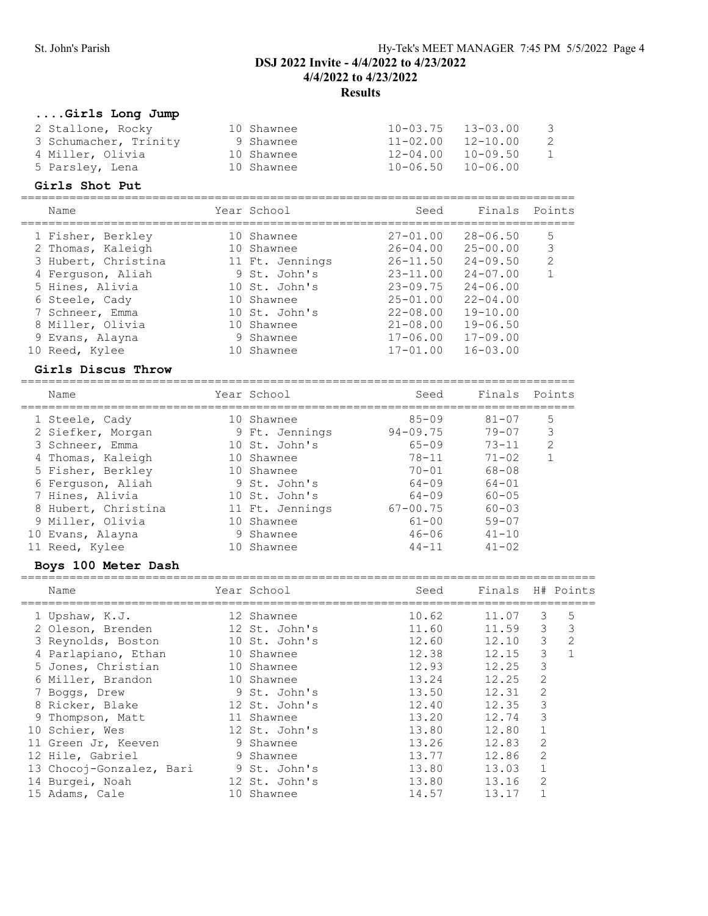# St. John's Parish Hy-Tek's MEET MANAGER 7:45 PM 5/5/2022 Page 4 DSJ 2022 Invite - 4/4/2022 to 4/23/2022 4/4/2022 to 4/23/2022 Results

# ....Girls Long Jump

| 2 Stallone, Rocky     | 10 Shawnee | $10 - 03.75$ | $13 - 03.00$ | - 3 |
|-----------------------|------------|--------------|--------------|-----|
| 3 Schumacher, Trinity | 9 Shawnee  | $11 - 02.00$ | $12 - 10.00$ | -2  |
| 4 Miller, Olivia      | 10 Shawnee | 12-04.00     | $10 - 09.50$ | 1   |
| 5 Parsley, Lena       | 10 Shawnee | $10 - 06.50$ | 10-06.00     |     |

#### Girls Shot Put

| Name                | Year School     | Seed         | Finals       | Points         |
|---------------------|-----------------|--------------|--------------|----------------|
| 1 Fisher, Berkley   | 10 Shawnee      | $27 - 01.00$ | $28 - 06.50$ | 5              |
| 2 Thomas, Kaleigh   | 10 Shawnee      | $26 - 04.00$ | $25 - 00.00$ | 3              |
| 3 Hubert, Christina | 11 Ft. Jennings | $26 - 11.50$ | $24 - 09.50$ | $\overline{2}$ |
| 4 Ferguson, Aliah   | 9 St. John's    | $23 - 11.00$ | $24 - 07.00$ |                |
| 5 Hines, Alivia     | 10 St. John's   | $23 - 09.75$ | $24 - 06.00$ |                |
| 6 Steele, Cady      | 10 Shawnee      | $25 - 01.00$ | $22 - 04.00$ |                |
| 7 Schneer, Emma     | 10 St. John's   | $22 - 08.00$ | $19 - 10.00$ |                |
| 8 Miller, Olivia    | 10 Shawnee      | $21 - 08.00$ | $19 - 06.50$ |                |
| 9 Evans, Alayna     | 9 Shawnee       | $17 - 06.00$ | $17 - 09.00$ |                |
| 10 Reed, Kylee      | 10 Shawnee      | $17 - 01.00$ | $16 - 03.00$ |                |
|                     |                 |              |              |                |

# Girls Discus Throw

| Name                | Year School     | Seed         | Finals    | Points         |
|---------------------|-----------------|--------------|-----------|----------------|
| 1 Steele, Cady      | 10 Shawnee      | $85 - 09$    | $81 - 07$ | 5              |
| 2 Siefker, Morgan   | 9 Ft. Jennings  | $94 - 09.75$ | $79 - 07$ | 3              |
| 3 Schneer, Emma     | 10 St. John's   | $65 - 09$    | $73 - 11$ | $\mathfrak{D}$ |
| 4 Thomas, Kaleigh   | 10 Shawnee      | $78 - 11$    | $71 - 02$ |                |
| 5 Fisher, Berkley   | 10 Shawnee      | $70 - 01$    | 68-08     |                |
| 6 Ferquson, Aliah   | 9 St. John's    | $64 - 09$    | $64 - 01$ |                |
| 7 Hines, Alivia     | 10 St. John's   | $64 - 09$    | $60 - 05$ |                |
| 8 Hubert, Christina | 11 Ft. Jennings | $67 - 00.75$ | $60 - 03$ |                |
| 9 Miller, Olivia    | 10 Shawnee      | $61 - 00$    | $59 - 07$ |                |
| 10 Evans, Alayna    | 9 Shawnee       | $46 - 06$    | $41 - 10$ |                |
| 11 Reed, Kylee      | Shawnee         | $44 - 11$    | $41 - 02$ |                |

# Boys 100 Meter Dash

| Name                     |    | Year School   | Seed  | Finals H# Points |               |   |
|--------------------------|----|---------------|-------|------------------|---------------|---|
| 1 Upshaw, K.J.           |    | 12 Shawnee    | 10.62 | 11.07            | 3             | 5 |
| 2 Oleson, Brenden        |    | 12 St. John's | 11.60 | 11.59            | 3             | 3 |
| 3 Reynolds, Boston       |    | 10 St. John's | 12.60 | 12.10            | 3             | 2 |
| 4 Parlapiano, Ethan      |    | 10 Shawnee    | 12.38 | 12.15            | 3             |   |
| 5 Jones, Christian       |    | 10 Shawnee    | 12.93 | 12.25            | 3             |   |
| 6 Miller, Brandon        |    | 10 Shawnee    | 13.24 | 12.25            | 2             |   |
| 7 Boggs, Drew            |    | 9 St. John's  | 13.50 | 12.31            | 2             |   |
| 8 Ricker, Blake          |    | 12 St. John's | 12.40 | 12.35            | 3             |   |
| 9 Thompson, Matt         |    | 11 Shawnee    | 13.20 | 12.74            | 3             |   |
| 10 Schier, Wes           |    | 12 St. John's | 13.80 | 12.80            |               |   |
| 11 Green Jr, Keeven      |    | 9 Shawnee     | 13.26 | 12.83            | 2             |   |
| 12 Hile, Gabriel         |    | 9 Shawnee     | 13.77 | 12.86            | 2             |   |
| 13 Chocoj-Gonzalez, Bari |    | 9 St. John's  | 13.80 | 13.03            |               |   |
| 14 Burgei, Noah          |    | 12 St. John's | 13.80 | 13.16            | $\mathcal{L}$ |   |
| 15 Adams, Cale           | 10 | Shawnee       | 14.57 | 13.17            |               |   |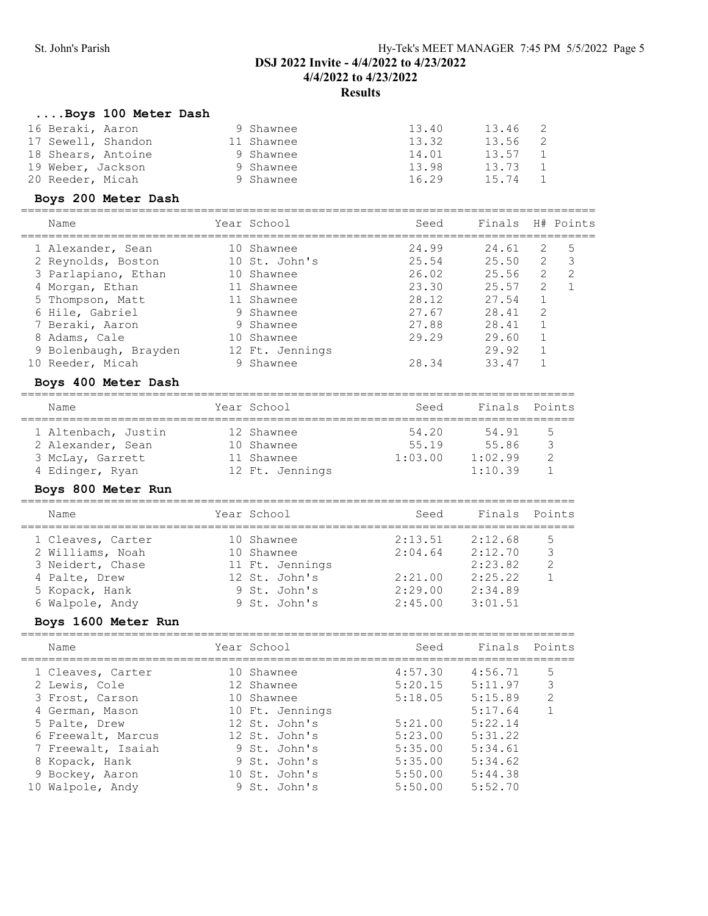### ....Boys 100 Meter Dash

| 16 Beraki, Aaron   | 9 Shawnee  | 13.40 | 13.46 |  |
|--------------------|------------|-------|-------|--|
| 17 Sewell, Shandon | 11 Shawnee | 13.32 | 13.56 |  |
| 18 Shears, Antoine | 9 Shawnee  | 14.01 | 13.57 |  |
| 19 Weber, Jackson  | 9 Shawnee  | 13.98 | 13.73 |  |
| 20 Reeder, Micah   | 9 Shawnee  | 16.29 | 15.74 |  |

### Boys 200 Meter Dash

| Name                  | Year School     | Seed  | Finals |               | H# Points |
|-----------------------|-----------------|-------|--------|---------------|-----------|
|                       |                 |       |        |               |           |
| 1 Alexander, Sean     | 10 Shawnee      | 24.99 | 24.61  | 2             | .5        |
| 2 Reynolds, Boston    | 10 St. John's   | 25.54 | 25.50  | 2             | 3         |
| 3 Parlapiano, Ethan   | 10 Shawnee      | 26.02 | 25.56  | $\mathcal{L}$ | 2         |
| 4 Morgan, Ethan       | 11 Shawnee      | 23.30 | 25.57  | 2             |           |
| 5 Thompson, Matt      | 11 Shawnee      | 28.12 | 27.54  |               |           |
| 6 Hile, Gabriel       | 9 Shawnee       | 27.67 | 28.41  | $\mathcal{L}$ |           |
| 7 Beraki, Aaron       | 9 Shawnee       | 27.88 | 28.41  |               |           |
| 8 Adams, Cale         | 10 Shawnee      | 29.29 | 29.60  |               |           |
| 9 Bolenbaugh, Brayden | 12 Ft. Jennings |       | 29.92  |               |           |
| 10 Reeder, Micah      | 9 Shawnee       | 28.34 | 33.47  |               |           |

#### Boys 400 Meter Dash

### ================================================================================ Year School Seed Finals Points ================================================================================ 1 Altenbach, Justin 12 Shawnee 54.20 54.91 5 2 Alexander, Sean 10 Shawnee 55.19 55.86 3 3 McLay, Garrett 11 Shawnee 1:03.00 1:02.99 2 4 Edinger, Ryan 12 Ft. Jennings 1:10.39 1

# Boys 800 Meter Run

| Name |                   | Year School     | Seed    | Finals Points |               |
|------|-------------------|-----------------|---------|---------------|---------------|
|      | 1 Cleaves, Carter | 10 Shawnee      | 2:13.51 | 2:12.68       | 5             |
|      | 2 Williams, Noah  | 10 Shawnee      | 2:04.64 | 2:12.70       | 3             |
|      | 3 Neidert, Chase  | 11 Ft. Jennings |         | 2:23.82       | $\mathcal{L}$ |
|      | 4 Palte, Drew     | 12 St. John's   | 2:21.00 | 2:25.22       |               |
|      | 5 Kopack, Hank    | 9 St. John's    | 2:29.00 | 2:34.89       |               |
|      | 6 Walpole, Andy   | 9 St. John's    | 2:45.00 | 3:01.51       |               |

### Boys 1600 Meter Run

| Name               | Year School     | Seed    | Finals Points |               |
|--------------------|-----------------|---------|---------------|---------------|
| 1 Cleaves, Carter  | 10 Shawnee      | 4:57.30 | 4:56.71       | 5             |
| 2 Lewis, Cole      | 12 Shawnee      | 5:20.15 | 5:11.97       | 3             |
| 3 Frost, Carson    | 10 Shawnee      | 5:18.05 | 5:15.89       | $\mathcal{L}$ |
| 4 German, Mason    | 10 Ft. Jennings |         | 5:17.64       |               |
| 5 Palte, Drew      | 12 St. John's   | 5:21.00 | 5:22.14       |               |
| 6 Freewalt, Marcus | 12 St. John's   | 5:23.00 | 5:31.22       |               |
| 7 Freewalt, Isaiah | 9 St. John's    | 5:35.00 | 5:34.61       |               |
| 8 Kopack, Hank     | 9 St. John's    | 5:35.00 | 5:34.62       |               |
| 9 Bockey, Aaron    | 10 St. John's   | 5:50.00 | 5:44.38       |               |
| 10 Walpole, Andy   | 9 St. John's    | 5:50.00 | 5:52.70       |               |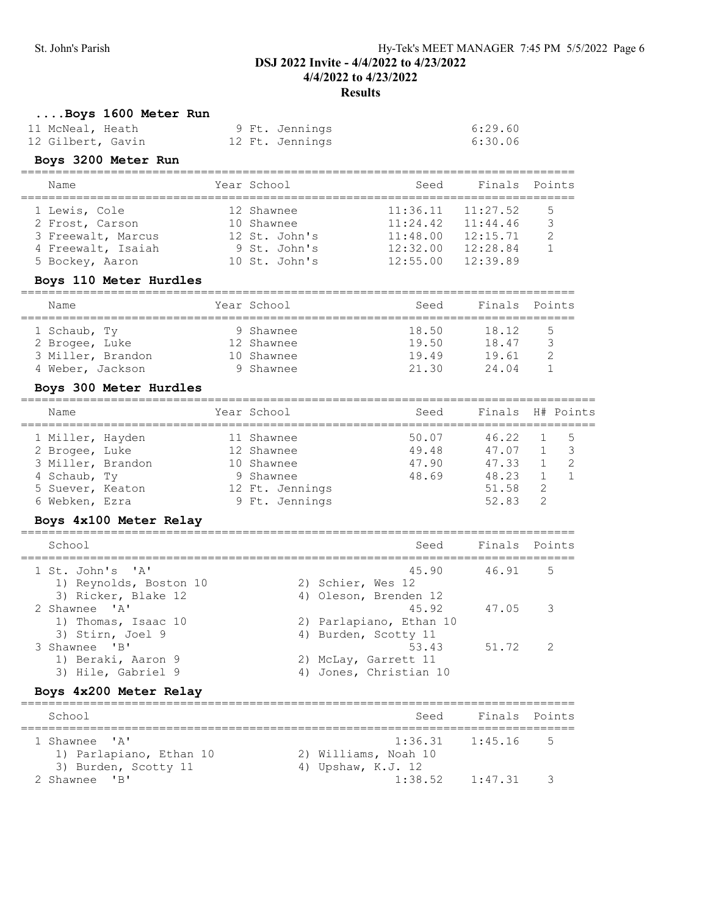# ....Boys 1600 Meter Run

| 11 McNeal, Heath  | 9 Ft. Jennings  | 6:29.60 |
|-------------------|-----------------|---------|
| 12 Gilbert, Gavin | 12 Ft. Jennings | 6:30.06 |

# Boys 3200 Meter Run

| Name                                                                                            | Year School                                                                | Seed                                                     | Finals Points                                            |                         |
|-------------------------------------------------------------------------------------------------|----------------------------------------------------------------------------|----------------------------------------------------------|----------------------------------------------------------|-------------------------|
| 1 Lewis, Cole<br>2 Frost, Carson<br>3 Freewalt, Marcus<br>4 Freewalt, Isaiah<br>5 Bockey, Aaron | 12 Shawnee<br>10 Shawnee<br>12 St. John's<br>9 St. John's<br>10 St. John's | 11:36.11<br>11:24.42<br>11:48.00<br>12:32.00<br>12:55.00 | 11:27.52<br>11:44.46<br>12:15.71<br>12:28.84<br>12:39.89 | 5<br>₹<br>$\mathcal{D}$ |

# Boys 110 Meter Hurdles

| Name              | Year School | Seed  | Finals<br>Points |
|-------------------|-------------|-------|------------------|
| 1 Schaub, Ty      | 9 Shawnee   | 18.50 | 18.12<br>5       |
| 2 Brogee, Luke    | 12 Shawnee  | 19.50 | 18.47            |
| 3 Miller, Brandon | 10 Shawnee  | 19.49 | 19.61            |
| 4 Weber, Jackson  | 9 Shawnee   | 21 30 | 24 Q4            |

### Boys 300 Meter Hurdles

| Name              |  | Year School     | Seed  | Finals H# Points |    |                |
|-------------------|--|-----------------|-------|------------------|----|----------------|
| 1 Miller, Hayden  |  | 11 Shawnee      | 50.07 | 46.22            |    | - 5            |
| 2 Brogee, Luke    |  | 12 Shawnee      | 49.48 | 47.07            |    | $\overline{3}$ |
| 3 Miller, Brandon |  | 10 Shawnee      | 47.90 | 47.33            |    |                |
| 4 Schaub, Ty      |  | 9 Shawnee       | 48.69 | 48.23            |    |                |
| 5 Suever, Keaton  |  | 12 Ft. Jennings |       | 51.58            | -2 |                |
| 6 Webken, Ezra    |  | 9 Ft. Jennings  |       | 52.83            | -2 |                |
|                   |  |                 |       |                  |    |                |

# Boys 4x100 Meter Relay

| School                                        |                                            | Seed Finals Points |                          |
|-----------------------------------------------|--------------------------------------------|--------------------|--------------------------|
| 1 St. John's 'A'                              | 45.90 46.91 5                              |                    |                          |
| 1) Reynolds, Boston 10<br>3) Ricker, Blake 12 | 2) Schier, Wes 12<br>4) Oleson, Brenden 12 |                    |                          |
| 2 Shawnee 'A'<br>1) Thomas, Isaac 10          | 45.92<br>2) Parlapiano, Ethan 10           | 47.05              | $\overline{\phantom{a}}$ |
| 3) Stirn, Joel 9                              | 4) Burden, Scotty 11                       |                    |                          |
| 3 Shawnee 'B'                                 | 53.43                                      | 51.72              | $\mathcal{P}$            |
| 1) Beraki, Aaron 9                            | 2) McLay, Garrett 11                       |                    |                          |
| 3) Hile, Gabriel 9                            | Jones, Christian 10                        |                    |                          |

# Boys 4x200 Meter Relay

| School                  | Seed                 | Finals Points |                |
|-------------------------|----------------------|---------------|----------------|
| 1 Shawnee 'A'           | $1:36.31$ $1:45.16$  |               | 5 <sub>5</sub> |
| 1) Parlapiano, Ethan 10 | 2) Williams, Noah 10 |               |                |
| 3) Burden, Scotty 11    | 4) Upshaw, K.J. 12   |               |                |
| 2 Shawnee 'B'           | 1:38.52              | 1:47.31       | - 2            |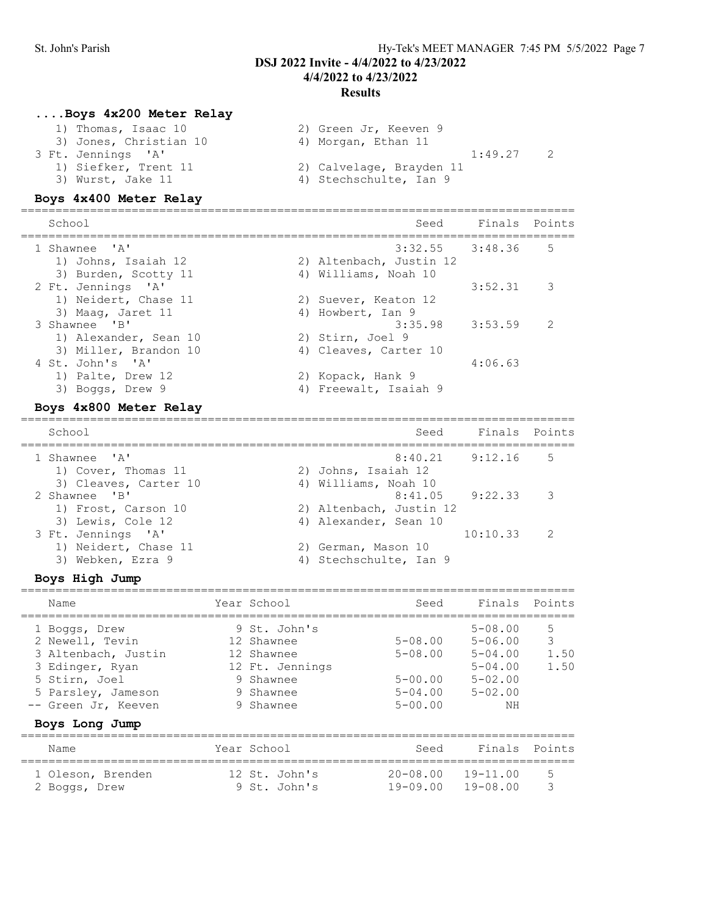# St. John's Parish Hy-Tek's MEET MANAGER 7:45 PM 5/5/2022 Page 7 DSJ 2022 Invite - 4/4/2022 to 4/23/2022 4/4/2022 to 4/23/2022 Results

### ....Boys 4x200 Meter Relay

| 2) Green Jr, Keeven 9    |
|--------------------------|
| 4) Morgan, Ethan 11      |
| 1:49.27                  |
| 2) Calvelage, Brayden 11 |
| 4) Stechschulte, Ian 9   |
|                          |

#### Boys 4x400 Meter Relay

| School                                                             | Seed                                           | Finals Points |               |
|--------------------------------------------------------------------|------------------------------------------------|---------------|---------------|
| 1 Shawnee 'A'<br>1) Johns, Isaiah 12                               | $3:32.55$ $3:48.36$<br>2) Altenbach, Justin 12 |               | 5             |
| 3) Burden, Scotty 11<br>2 Ft. Jennings 'A'<br>1) Neidert, Chase 11 | 4) Williams, Noah 10<br>2) Suever, Keaton 12   | 3:52.31       | 3             |
| 3) Maag, Jaret 11<br>3 Shawnee 'B'                                 | 4) Howbert, Ian 9<br>3:35.98                   | 3:53.59       | $\mathcal{D}$ |
| 1) Alexander, Sean 10<br>3) Miller, Brandon 10<br>4 St. John's 'A' | 2) Stirn, Joel 9<br>4) Cleaves, Carter 10      | 4:06.63       |               |
| 1) Palte, Drew 12<br>3) Boggs, Drew 9                              | 2) Kopack, Hank 9<br>4) Freewalt, Isaiah 9     |               |               |

### Boys 4x800 Meter Relay

================================================================================ Seed Finals Points ================================================================================ 8:40.21 9:12.16 5 1) Cover, Thomas 11 2) Johns, Isaiah 12<br>3) Cleaves, Carter 10 4) Williams, Noah 10 3) Cleaves, Carter 10 (4) Williams, Noah 10 2 Shawnee 'B' 8:41.05 9:22.33 3 1) Frost, Carson 10 2) Altenbach, Justin 12 3) Lewis, Cole 12 4) Alexander, Sean 10 3 Ft. Jennings 'A' 10:10.33 2 1) Neidert, Chase 11 2) German, Mason 10 3) Webken, Ezra 9 (4) Stechschulte, Ian 9

# Boys High Jump

| Name                                                                                                                                                       | Year School                                                                                        | Seed                                                                    | Finals Points                                                                                |                        |
|------------------------------------------------------------------------------------------------------------------------------------------------------------|----------------------------------------------------------------------------------------------------|-------------------------------------------------------------------------|----------------------------------------------------------------------------------------------|------------------------|
| 1 Boggs, Drew<br>2 Newell, Tevin<br>3 Altenbach, Justin<br>3 Edinger, Ryan<br>5 Stirn, Joel<br>5 Parsley, Jameson<br>-- Green Jr, Keeven<br>Boys Long Jump | 9 St. John's<br>12 Shawnee<br>12 Shawnee<br>12 Ft. Jennings<br>9 Shawnee<br>9 Shawnee<br>9 Shawnee | $5 - 08.00$<br>$5 - 08.00$<br>$5 - 00.00$<br>$5 - 04.00$<br>$5 - 00.00$ | $5 - 08.00$<br>$5 - 06.00$<br>$5 - 04.00$<br>$5 - 04.00$<br>$5 - 02.00$<br>$5 - 02.00$<br>NΗ | 5<br>3<br>1.50<br>1.50 |
| Name                                                                                                                                                       | Year School                                                                                        | Seed                                                                    | Finals Points                                                                                |                        |
| 1 Oleson, Brenden<br>2 Boggs, Drew                                                                                                                         | 12 St. John's<br>9 St. John's                                                                      | $20 - 08.00$ $19 - 11.00$<br>$19 - 09.00$                               | $19 - 08.00$                                                                                 | 5<br>3                 |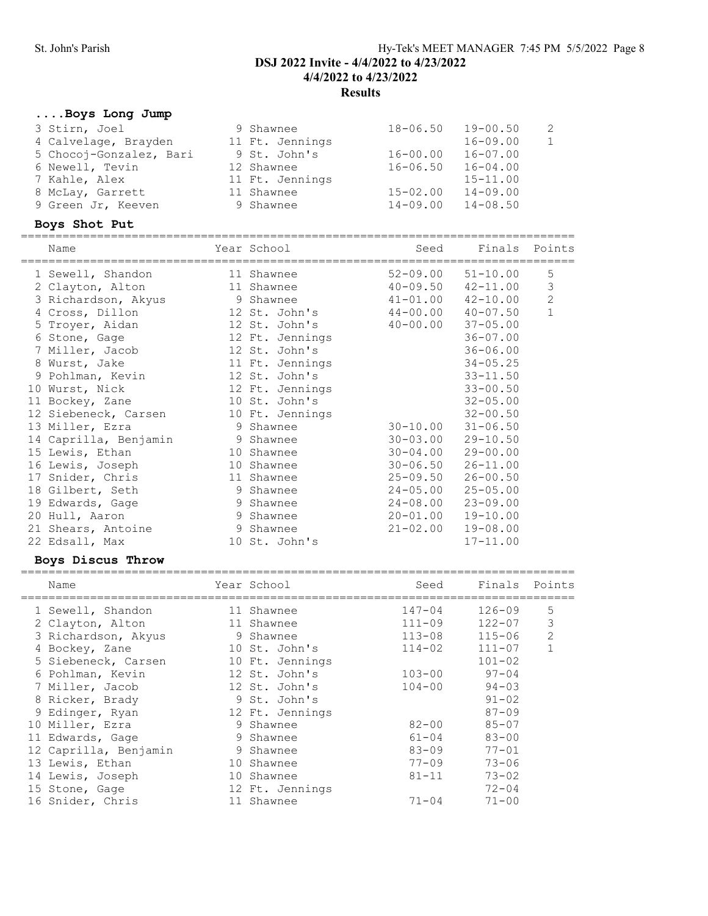# St. John's Parish Hy-Tek's MEET MANAGER 7:45 PM 5/5/2022 Page 8 DSJ 2022 Invite - 4/4/2022 to 4/23/2022 4/4/2022 to 4/23/2022 Results

# ....Boys Long Jump

| 9 Shawnee       |              | $19 - 00.50$ | 2                    |
|-----------------|--------------|--------------|----------------------|
| 11 Ft. Jennings |              | $16 - 09.00$ | 1                    |
| 9 St. John's    | $16 - 00.00$ | $16 - 07.00$ |                      |
| 12 Shawnee      | $16 - 06.50$ | $16 - 04.00$ |                      |
| 11 Ft. Jennings |              | $15 - 11.00$ |                      |
| 11 Shawnee      | $15 - 02.00$ | $14 - 09.00$ |                      |
| 9 Shawnee       |              | $14 - 08.50$ |                      |
|                 |              |              | 18-06.50<br>14-09.00 |

# Boys Shot Put

| Name<br>==================================== | Year School     | Seed         | Finals Points |                |
|----------------------------------------------|-----------------|--------------|---------------|----------------|
| 1 Sewell, Shandon                            | 11 Shawnee      | $52 - 09.00$ | $51 - 10.00$  | 5              |
| 2 Clayton, Alton                             | 11 Shawnee      | $40 - 09.50$ | $42 - 11.00$  | 3              |
| 3 Richardson, Akyus                          | 9 Shawnee       | $41 - 01.00$ | $42 - 10.00$  | $\overline{2}$ |
| 4 Cross, Dillon                              | 12 St. John's   | $44 - 00.00$ | $40 - 07.50$  | $\mathbf{1}$   |
| 5 Troyer, Aidan                              | 12 St. John's   | $40 - 00.00$ | $37 - 05.00$  |                |
| 6 Stone, Gage                                | 12 Ft. Jennings |              | $36 - 07.00$  |                |
| 7 Miller, Jacob                              | 12 St. John's   |              | $36 - 06.00$  |                |
| 8 Wurst, Jake                                | 11 Ft. Jennings |              | $34 - 05.25$  |                |
| 9 Pohlman, Kevin                             | 12 St. John's   |              | $33 - 11.50$  |                |
| 10 Wurst, Nick                               | 12 Ft. Jennings |              | $33 - 00.50$  |                |
| 11 Bockey, Zane                              | 10 St. John's   |              | $32 - 05.00$  |                |
| 12 Siebeneck, Carsen                         | 10 Ft. Jennings |              | $32 - 00.50$  |                |
| 13 Miller, Ezra                              | 9 Shawnee       | $30 - 10.00$ | $31 - 06.50$  |                |
| 14 Caprilla, Benjamin                        | 9 Shawnee       | $30 - 03.00$ | $29 - 10.50$  |                |
| 15 Lewis, Ethan                              | 10 Shawnee      | $30 - 04.00$ | $29 - 00.00$  |                |
| 16 Lewis, Joseph                             | 10 Shawnee      | $30 - 06.50$ | $26 - 11.00$  |                |
| 17 Snider, Chris                             | 11 Shawnee      | $25 - 09.50$ | $26 - 00.50$  |                |
| 18 Gilbert, Seth                             | 9 Shawnee       | $24 - 05.00$ | $25 - 05.00$  |                |
| 19 Edwards, Gage                             | 9 Shawnee       | $24 - 08.00$ | $23 - 09.00$  |                |
| 20 Hull, Aaron                               | 9 Shawnee       | $20 - 01.00$ | $19 - 10.00$  |                |
| 21 Shears, Antoine                           | 9 Shawnee       | $21 - 02.00$ | $19 - 08.00$  |                |
| 22 Edsall, Max                               | 10 St. John's   |              | $17 - 11.00$  |                |

# Boys Discus Throw

|    | Name                  |    | Year School     | Seed       | Finals     | Points         |
|----|-----------------------|----|-----------------|------------|------------|----------------|
|    | 1 Sewell, Shandon     | 11 | Shawnee         | $147 - 04$ | $126 - 09$ | 5              |
|    | 2 Clayton, Alton      | 11 | Shawnee         | $111 - 09$ | $122 - 07$ | 3              |
|    | 3 Richardson, Akyus   | 9  | Shawnee         | $113 - 08$ | $115 - 06$ | $\overline{2}$ |
| 4  | Bockey, Zane          |    | 10 St. John's   | $114 - 02$ | $111 - 07$ |                |
|    | 5 Siebeneck, Carsen   |    | 10 Ft. Jennings |            | $101 - 02$ |                |
|    | 6 Pohlman, Kevin      |    | 12 St. John's   | $103 - 00$ | $97 - 04$  |                |
|    | 7 Miller, Jacob       |    | 12 St. John's   | $104 - 00$ | $94 - 03$  |                |
|    | 8 Ricker, Brady       |    | 9 St. John's    |            | $91 - 02$  |                |
|    | 9 Edinger, Ryan       |    | 12 Ft. Jennings |            | $87 - 09$  |                |
| 10 | Miller, Ezra          | 9  | Shawnee         | $82 - 00$  | $85 - 07$  |                |
|    | 11 Edwards, Gage      | 9  | Shawnee         | $61 - 04$  | $83 - 00$  |                |
|    | 12 Caprilla, Benjamin | 9  | Shawnee         | $83 - 09$  | $77 - 01$  |                |
|    | 13 Lewis, Ethan       | 10 | Shawnee         | $77 - 09$  | $73 - 06$  |                |
|    | 14 Lewis, Joseph      | 10 | Shawnee         | $81 - 11$  | $73 - 02$  |                |
|    | 15 Stone, Gage        |    | 12 Ft. Jennings |            | $72 - 04$  |                |
|    | 16 Snider, Chris      | 11 | Shawnee         | $71 - 04$  | $71 - 00$  |                |